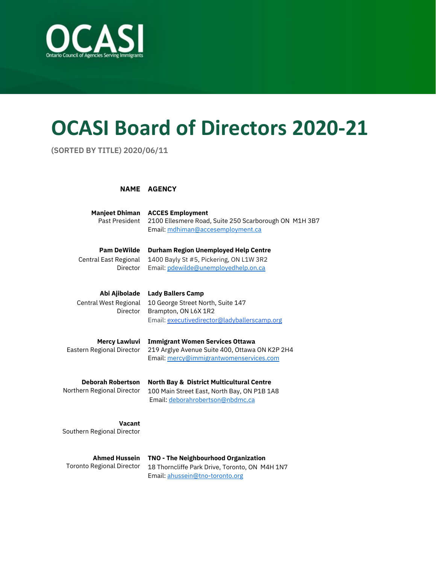

## **OCASI Board of Directors 2020-21**

**(SORTED BY TITLE) 2020/06/11**

## **NAME AGENCY**

| <b>Manjeet Dhiman</b><br>Past President                        | <b>ACCES Employment</b><br>2100 Ellesmere Road, Suite 250 Scarborough ON M1H 3B7<br>Email: mdhiman@accesemployment.ca                   |
|----------------------------------------------------------------|-----------------------------------------------------------------------------------------------------------------------------------------|
| <b>Pam DeWilde</b><br>Central East Regional<br><b>Director</b> | <b>Durham Region Unemployed Help Centre</b><br>1400 Bayly St #5, Pickering, ON L1W 3R2<br>Email: pdewilde@unemployedhelp.on.ca          |
| Abi Ajibolade<br>Central West Regional<br>Director             | <b>Lady Ballers Camp</b><br>10 George Street North, Suite 147<br>Brampton, ON L6X 1R2<br>Email: executivedirector@ladyballerscamp.org   |
| <b>Mercy Lawluvi</b><br>Eastern Regional Director              | <b>Immigrant Women Services Ottawa</b><br>219 Arglye Avenue Suite 400, Ottawa ON K2P 2H4<br>Email: mercy@immigrantwomenservices.com     |
| <b>Deborah Robertson</b><br>Northern Regional Director         | <b>North Bay &amp; District Multicultural Centre</b><br>100 Main Street East, North Bay, ON P1B 1A8<br>Email: deborahrobertson@nbdmc.ca |
| Vacant<br>Southern Regional Director                           |                                                                                                                                         |
| <b>Ahmed Hussein</b>                                           | TNO - The Neighbourhood Organization                                                                                                    |

Toronto Regional Director 18 Thorncliffe Park Drive, Toronto, ON M4H 1N7 Email: ahussein@tno-toronto.org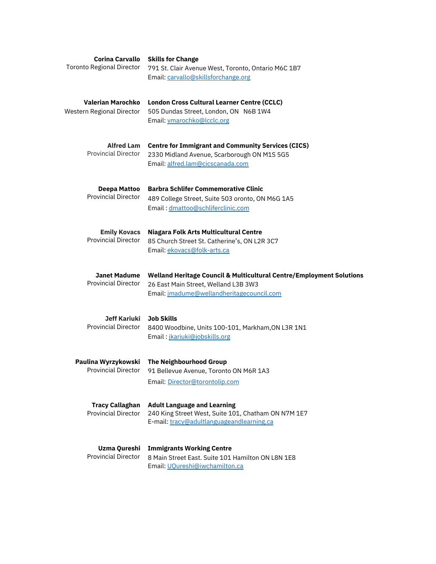| <b>Corina Carvallo</b><br><b>Toronto Regional Director</b> | <b>Skills for Change</b><br>791 St. Clair Avenue West, Toronto, Ontario M6C 1B7<br>Email: carvallo@skillsforchange.org                                    |
|------------------------------------------------------------|-----------------------------------------------------------------------------------------------------------------------------------------------------------|
| Valerian Marochko<br>Western Regional Director             | <b>London Cross Cultural Learner Centre (CCLC)</b><br>505 Dundas Street, London, ON N6B 1W4<br>Email: vmarochko@lcclc.org                                 |
| <b>Alfred Lam</b><br><b>Provincial Director</b>            | <b>Centre for Immigrant and Community Services (CICS)</b><br>2330 Midland Avenue, Scarborough ON M1S 5G5<br>Email: alfred.lam@cicscanada.com              |
| Deepa Mattoo<br><b>Provincial Director</b>                 | <b>Barbra Schlifer Commemorative Clinic</b><br>489 College Street, Suite 503 oronto, ON M6G 1A5<br>Email: dmattoo@schliferclinic.com                      |
| <b>Emily Kovacs</b><br><b>Provincial Director</b>          | Niagara Folk Arts Multicultural Centre<br>85 Church Street St. Catherine's, ON L2R 3C7<br>Email: ekovacs@folk-arts.ca                                     |
| Janet Madume<br><b>Provincial Director</b>                 | Welland Heritage Council & Multicultural Centre/Employment Solutions<br>26 East Main Street, Welland L3B 3W3<br>Email: jmadume@wellandheritagecouncil.com |
| <b>Jeff Kariuki</b><br><b>Provincial Director</b>          | <b>Job Skills</b><br>8400 Woodbine, Units 100-101, Markham, ON L3R 1N1<br>Email: <i>jkariuki@jobskills.org</i>                                            |
| Paulina Wyrzykowski<br><b>Provincial Director</b>          | The Neighbourhood Group<br>91 Bellevue Avenue, Toronto ON M6R 1A3<br>Email: Director@torontolip.com                                                       |
| <b>Tracy Callaghan</b><br><b>Provincial Director</b>       | <b>Adult Language and Learning</b><br>240 King Street West, Suite 101, Chatham ON N7M 1E7<br>E-mail: tracy@adultlanguageandlearning.ca                    |
| <b>Uzma Qureshi</b><br><b>Provincial Director</b>          | <b>Immigrants Working Centre</b><br>8 Main Street East. Suite 101 Hamilton ON L8N 1E8<br>Email: UQureshi@iwchamilton.ca                                   |